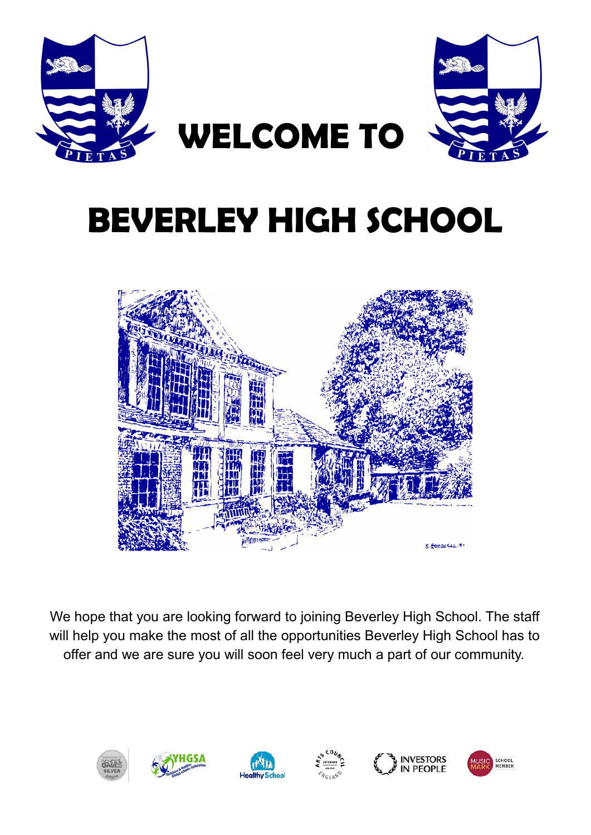



# **BEVERLEY HIGH SCHOOL**

**WELCOME TO**



We hope that you are looking forward to joining Beverley High School. The staff will help you make the most of all the opportunities Beverley High School has to offer and we are sure you will soon feel very much a part of our community.

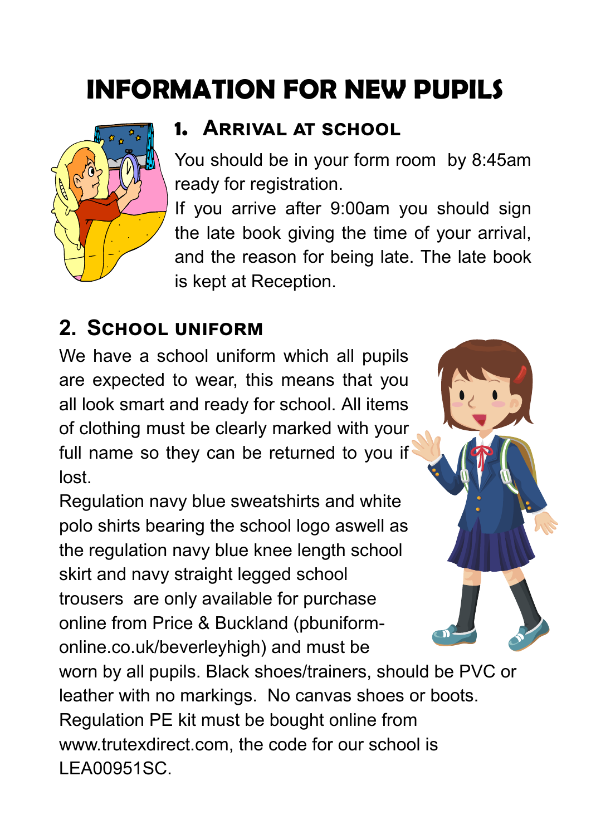# **INFORMATION FOR NEW PUPILS**



#### **1. Arrival at school**

You should be in your form room by 8:45am ready for registration.

If you arrive after 9:00am you should sign the late book giving the time of your arrival, and the reason for being late. The late book is kept at Reception.

### **2. School uniform**

We have a school uniform which all pupils are expected to wear, this means that you all look smart and ready for school. All items of clothing must be clearly marked with your full name so they can be returned to you if lost.

Regulation navy blue sweatshirts and white polo shirts bearing the school logo aswell as the regulation navy blue knee length school skirt and navy straight legged school trousers are only available for purchase online from Price & Buckland (pbuniformonline.co.uk/beverleyhigh) and must be



worn by all pupils. Black shoes/trainers, should be PVC or leather with no markings. No canvas shoes or boots. Regulation PE kit must be bought online from www.trutexdirect.com, the code for our school is LEA00951SC.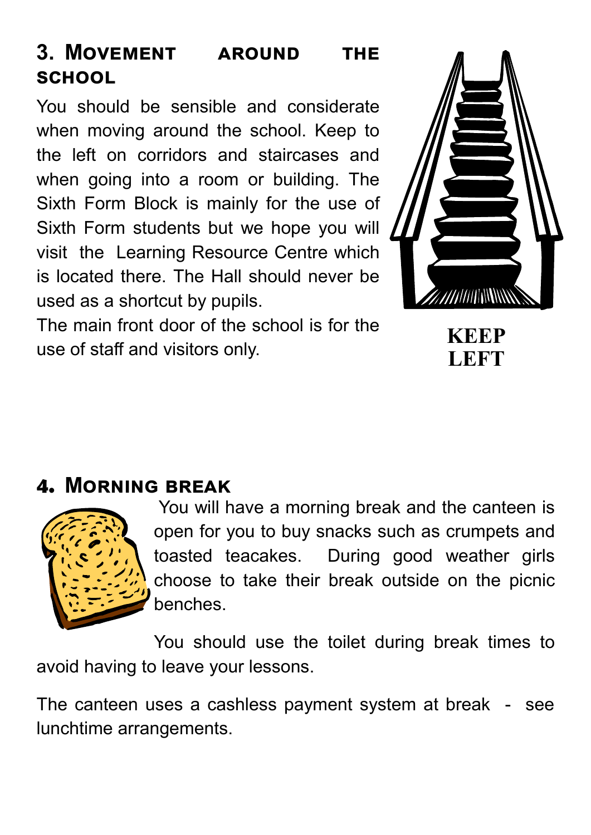#### **3. Movement around the school**

You should be sensible and considerate when moving around the school. Keep to the left on corridors and staircases and when going into a room or building. The Sixth Form Block is mainly for the use of Sixth Form students but we hope you will visit the Learning Resource Centre which is located there. The Hall should never be used as a shortcut by pupils.

The main front door of the school is for the use of staff and visitors only.



**LEFT**

#### **4. Morning break**



You will have a morning break and the canteen is open for you to buy snacks such as crumpets and toasted teacakes. During good weather girls choose to take their break outside on the picnic benches.

You should use the toilet during break times to avoid having to leave your lessons.

The canteen uses a cashless payment system at break - see lunchtime arrangements.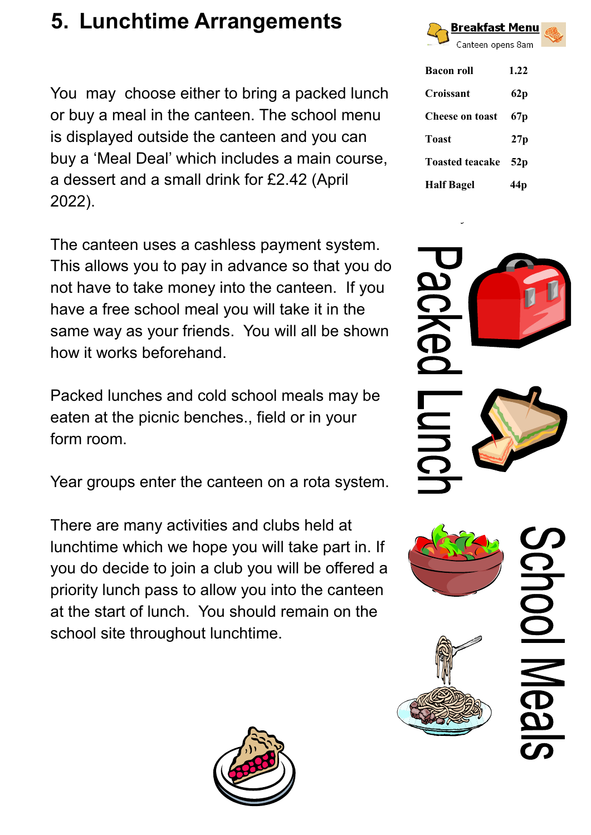# **5. Lunchtime Arrangements**

You may choose either to bring a packed lunch or buy a meal in the canteen. The school menu is displayed outside the canteen and you can buy a 'Meal Deal' which includes a main course, a dessert and a small drink for £2.42 (April 2022).

The canteen uses a cashless payment system. This allows you to pay in advance so that you do not have to take money into the canteen. If you have a free school meal you will take it in the same way as your friends. You will all be shown how it works beforehand.

Packed lunches and cold school meals may be eaten at the picnic benches., field or in your form room.

Year groups enter the canteen on a rota system.

There are many activities and clubs held at lunchtime which we hope you will take part in. If you do decide to join a club you will be offered a priority lunch pass to allow you into the canteen at the start of lunch. You should remain on the school site throughout lunchtime.





| <b>Bacon roll</b>      | 1.22 |
|------------------------|------|
| Croissant              | 62p  |
| <b>Cheese on toast</b> | 67p  |
| <b>Toast</b>           | 27p  |
| <b>Toasted teacake</b> | 52p  |
| <b>Half Bagel</b>      |      |



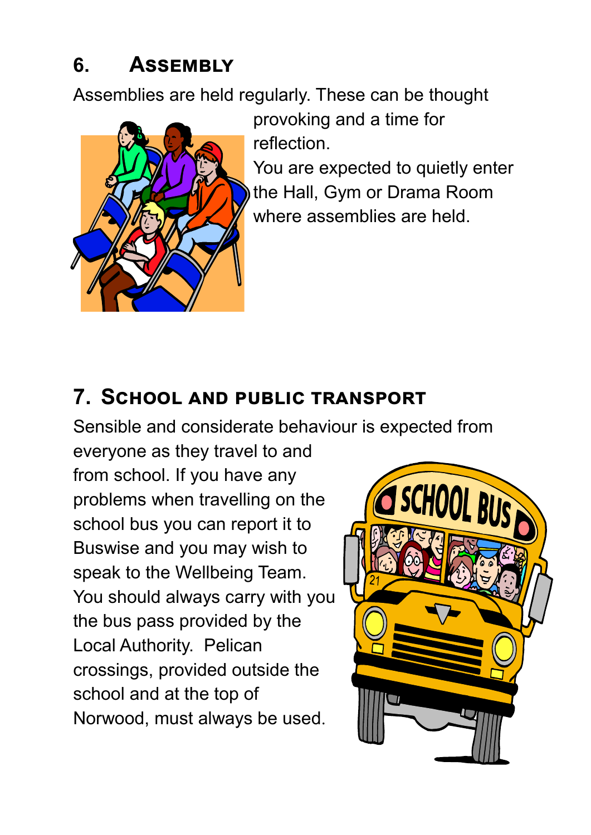# **6. Assembly**

Assemblies are held regularly. These can be thought



provoking and a time for reflection.

You are expected to quietly enter the Hall, Gym or Drama Room where assemblies are held.

#### **7. School and public transport**

Sensible and considerate behaviour is expected from

everyone as they travel to and from school. If you have any problems when travelling on the school bus you can report it to Buswise and you may wish to speak to the Wellbeing Team. You should always carry with you the bus pass provided by the Local Authority. Pelican crossings, provided outside the school and at the top of Norwood, must always be used.

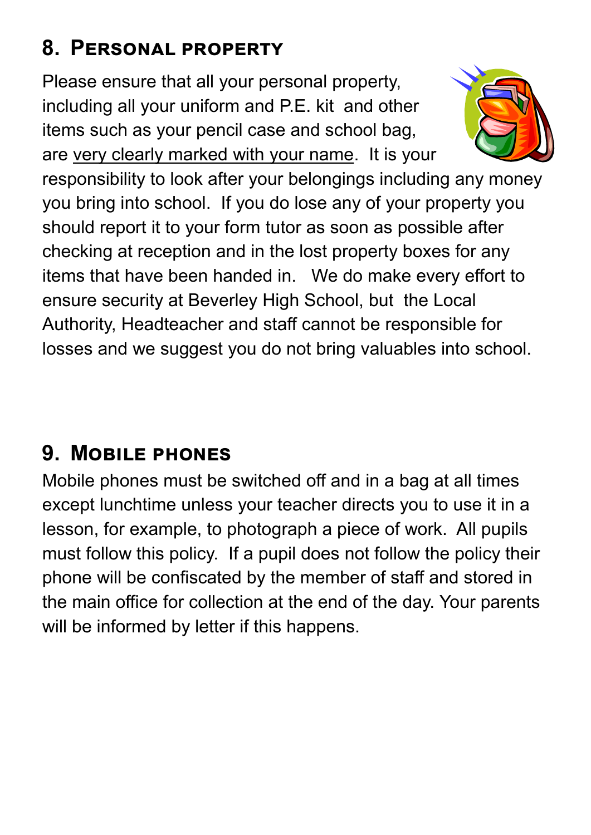# **8. Personal property**

Please ensure that all your personal property, including all your uniform and P.E. kit and other items such as your pencil case and school bag, are very clearly marked with your name. It is your



responsibility to look after your belongings including any money you bring into school. If you do lose any of your property you should report it to your form tutor as soon as possible after checking at reception and in the lost property boxes for any items that have been handed in. We do make every effort to ensure security at Beverley High School, but the Local Authority, Headteacher and staff cannot be responsible for losses and we suggest you do not bring valuables into school.

# **9. Mobile phones**

Mobile phones must be switched off and in a bag at all times except lunchtime unless your teacher directs you to use it in a lesson, for example, to photograph a piece of work. All pupils must follow this policy. If a pupil does not follow the policy their phone will be confiscated by the member of staff and stored in the main office for collection at the end of the day. Your parents will be informed by letter if this happens.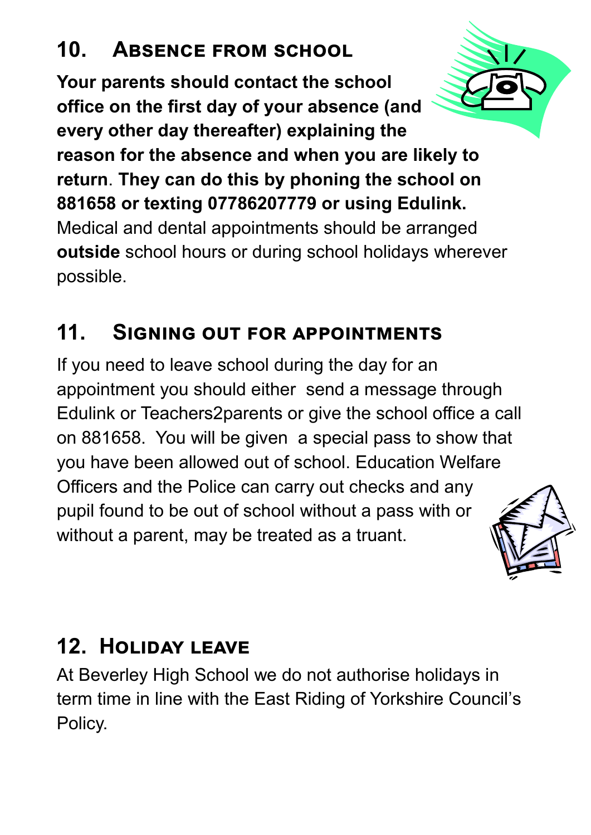# **10. Absence from school**

**Your parents should contact the school office on the first day of your absence (and every other day thereafter) explaining the reason for the absence and when you are likely to return**. **They can do this by phoning the school on 881658 or texting 07786207779 or using Edulink.** Medical and dental appointments should be arranged **outside** school hours or during school holidays wherever possible.

# **11. Signing out for appointments**

If you need to leave school during the day for an appointment you should either send a message through Edulink or Teachers2parents or give the school office a call on 881658. You will be given a special pass to show that you have been allowed out of school. Education Welfare Officers and the Police can carry out checks and any pupil found to be out of school without a pass with or without a parent, may be treated as a truant.

# **12. Holiday leave**

At Beverley High School we do not authorise holidays in term time in line with the East Riding of Yorkshire Council's Policy.